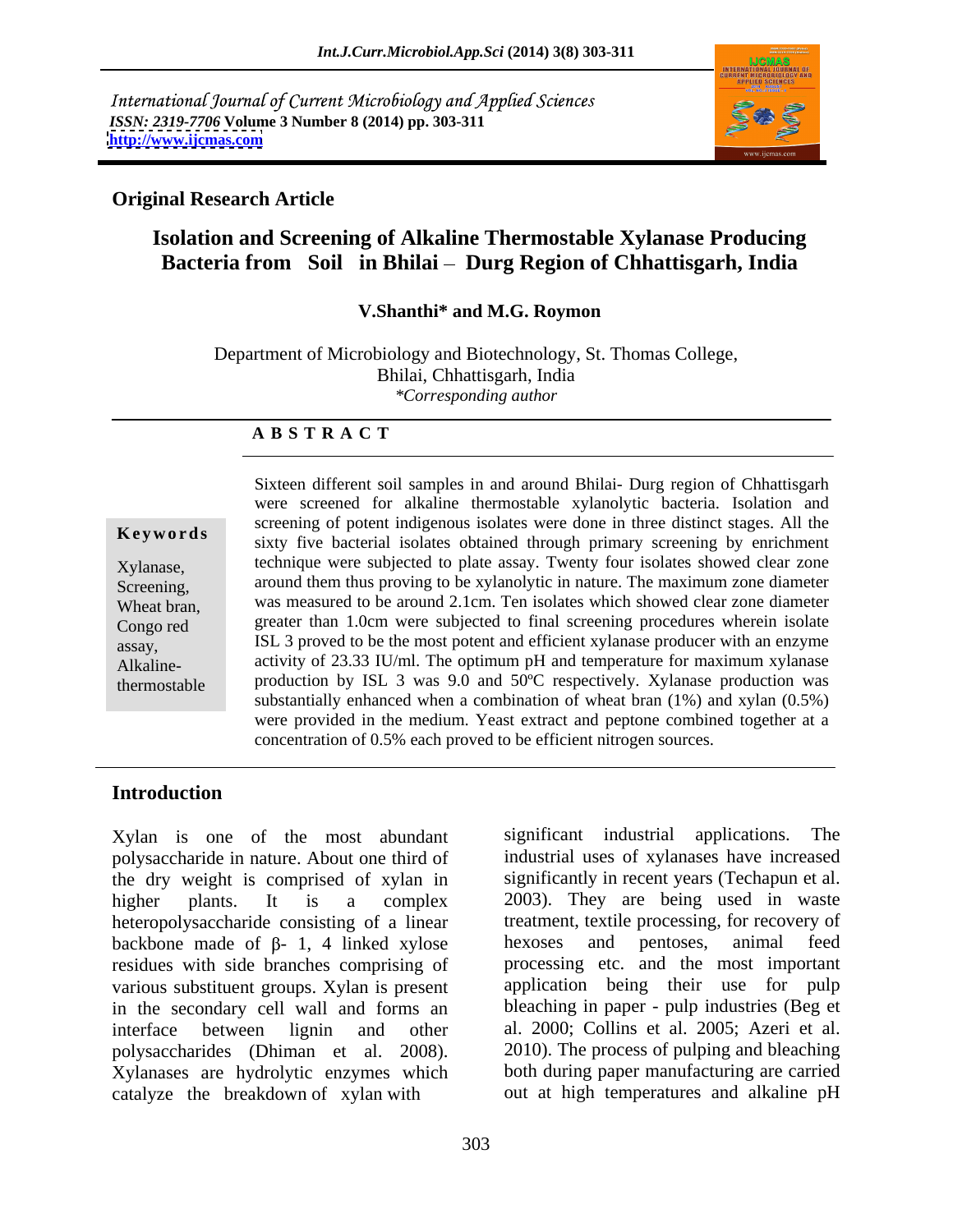International Journal of Current Microbiology and Applied Sciences *ISSN: 2319-7706* **Volume 3 Number 8 (2014) pp. 303-311 <http://www.ijcmas.com>**



## **Original Research Article**

## **Isolation and Screening of Alkaline Thermostable Xylanase Producing**  Bacteria from Soil in Bhilai – Durg Region of Chhattisgarh, India

## **V.Shanthi\* and M.G. Roymon**

Department of Microbiology and Biotechnology, St. Thomas College, Bhilai, Chhattisgarh, India *\*Corresponding author* 

### **A B S T R A C T**

Alkaline-

**Keywords** selecting of potent indigenous isolates were done in three distinct stages. The three stages is the new Xylanase, technique were subjected to plate assay. Twenty four isolates showed clear zone Screening, around them thus proving to be xylanolytic in nature. The maximum zone diameter Wheat bran, was measured to be around 2.1cm. Ten isolates which showed clear zone diameter Congo red **greater than 1.0cm** were subjected to final screening procedures wherein isolate assay, ISL 3 proved to be the most potent and efficient xylanase producer with an enzyme thermostable production by ISL 3 was 9.0 and 50ºC respectively. Xylanase production was Sixteen different soil samples in and around Bhilai- Durg region of Chhattisgarh were screened for alkaline thermostable xylanolytic bacteria. Isolation and screening of potent indigenous isolates were done in three distinct stages. All the activity of 23.33 IU/ml. The optimum pH and temperature for maximum xylanase substantially enhanced when a combination of wheat bran (1%) and xylan (0.5%) were provided in the medium. Yeast extract and peptone combined together at a concentration of 0.5% each proved to be efficient nitrogen sources.

## **Introduction**

Xylan is one of the most abundant significant industrial applications. The polysaccharide in nature. About one third of the dry weight is comprised of xylan in higher plants. It is a complex 2003). They are being used in waste heteropolysaccharide consisting of a linear backbone made of  $\beta$ - 1, 4 linked xylose hexoses and pentoses, animal feed residues with side branches comprising of various substituent groups. Xylan is present in the secondary cell wall and forms an interface between lignin and other al. 2000; Collins et al. 2005; Azeri et al. polysaccharides (Dhiman et al. 2008). Xylanases are hydrolytic enzymes which catalyze the breakdown of xylan with out at high temperatures and alkaline pH

significant industrial applications. industrial uses of xylanases have increased significantly in recent years (Techapun et al. treatment, textile processing, for recovery of hexoses and pentoses, animal feed processing etc. and the most important application being their use for pulp bleaching in paper - pulp industries (Beg et 2010). The process of pulping and bleaching both during paper manufacturing are carried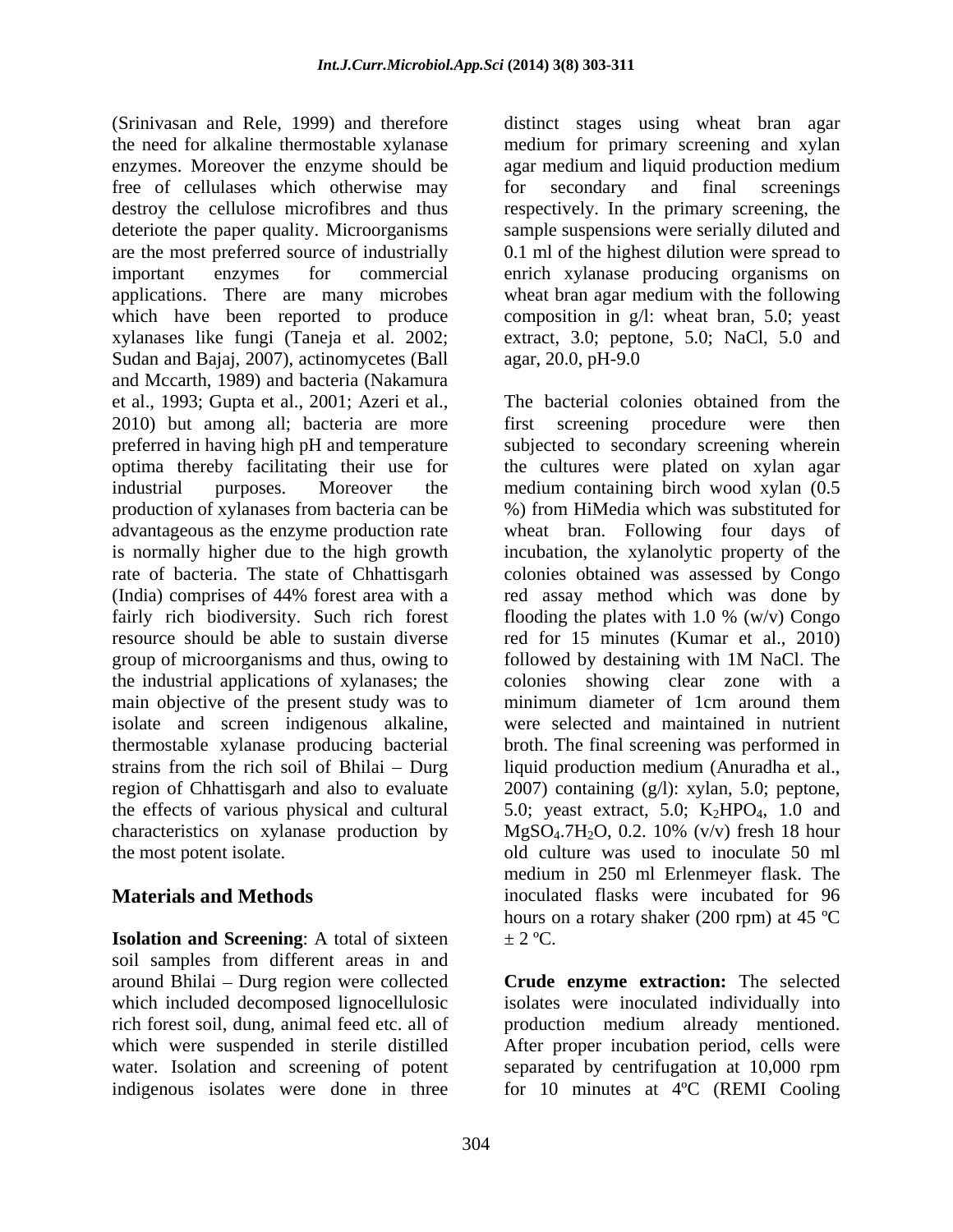(Srinivasan and Rele, 1999) and therefore distinct stages using wheat bran agar the need for alkaline thermostable xylanase medium for primary screening and xylan enzymes. Moreover the enzyme should be agar medium and liquid production medium free of cellulases which otherwise may for secondary and final screenings destroy the cellulose microfibres and thus deteriote the paper quality. Microorganisms are the most preferred source of industrially  $\qquad 0.1$  ml of the highest dilution were spread to important enzymes for commercial enrich xylanase producing organisms on applications. There are many microbes wheat bran agar medium with the following which have been reported to produce composition in g/l: wheat bran, 5.0; yeast xylanases like fungi (Taneja et al. 2002; extract, 3.0; peptone, 5.0; NaCl, 5.0 and Sudan and Bajaj, 2007), actinomycetes (Ball agar, 20.0, pH-9.0 and Mccarth, 1989) and bacteria (Nakamura et al., 1993; Gupta et al., 2001; Azeri et al., group of microorganisms and thus, owing to followed by destaining with 1M NaCl. The the industrial applications of xylanases; the main objective of the present study was to minimum diameter of 1cm around them isolate and screen indigenous alkaline, characteristics on xylanase production by  $MgSO_4.7H_2O$ , 0.2. 10% (v/v) fresh 18 hour

**Isolation and Screening:** A total of sixteen  $\pm 2^{\circ}$ C. soil samples from different areas in and around Bhilai - Durg region were collected indigenous isolates were done in three for 10 minutes at 4ºC (REMI Cooling

for secondary and final screenings respectively. In the primary screening, the sample suspensions were serially diluted and agar, 20.0, pH-9.0

2010) but among all; bacteria are more first screening procedure were then preferred in having high pH and temperature subjected to secondary screening wherein optima thereby facilitating their use for the cultures were plated on xylan agar industrial purposes. Moreover the medium containing birch wood xylan (0.5 production of xylanases from bacteria can be %) from HiMedia which was substituted for advantageous as the enzyme production rate wheat bran. Following four days of is normally higher due to the high growth incubation, the xylanolytic property of the rate of bacteria. The state of Chhattisgarh colonies obtained was assessed by Congo (India) comprises of 44% forest area with a fairly rich biodiversity. Such rich forest flooding the plates with 1.0 % (w/v) Congo resource should be able to sustain diverse red for 15 minutes (Kumar et al., 2010) thermostable xylanase producing bacterial broth. The final screening was performed in strains from the rich soil of Bhilai – Durg liquid production medium (Anuradha et al., region of Chhattisgarh and also to evaluate 2007) containing (g/l): xylan, 5.0; peptone, the effects of various physical and cultural  $5.0$ ; yeast extract, 5.0; K<sub>2</sub>HPO<sub>4</sub>, 1.0 and the most potent isolate. old culture was used to inoculate 50 ml **Materials and Methods inoculated flasks** were incubated for 96 The bacterial colonies obtained from the red assay method which was done by followed by destaining with 1M NaCl. The colonies showing clear zone with a minimum diameter of 1cm around them were selected and maintained in nutrient  $MgSO_4$ .7H<sub>2</sub>O, 0.2. 10% (v/v) fresh 18 hour medium in 250 ml Erlenmeyer flask. The hours on a rotary shaker (200 rpm) at 45 ºC  $\pm$  2 °C.

which included decomposed lignocellulosic isolates were inoculated individually into rich forest soil, dung, animal feed etc. all of production medium already mentioned. which were suspended in sterile distilled After proper incubation period, cells were water. Isolation and screening of potent separated by centrifugation at 10,000 rpm **Crude enzyme extraction:** The selected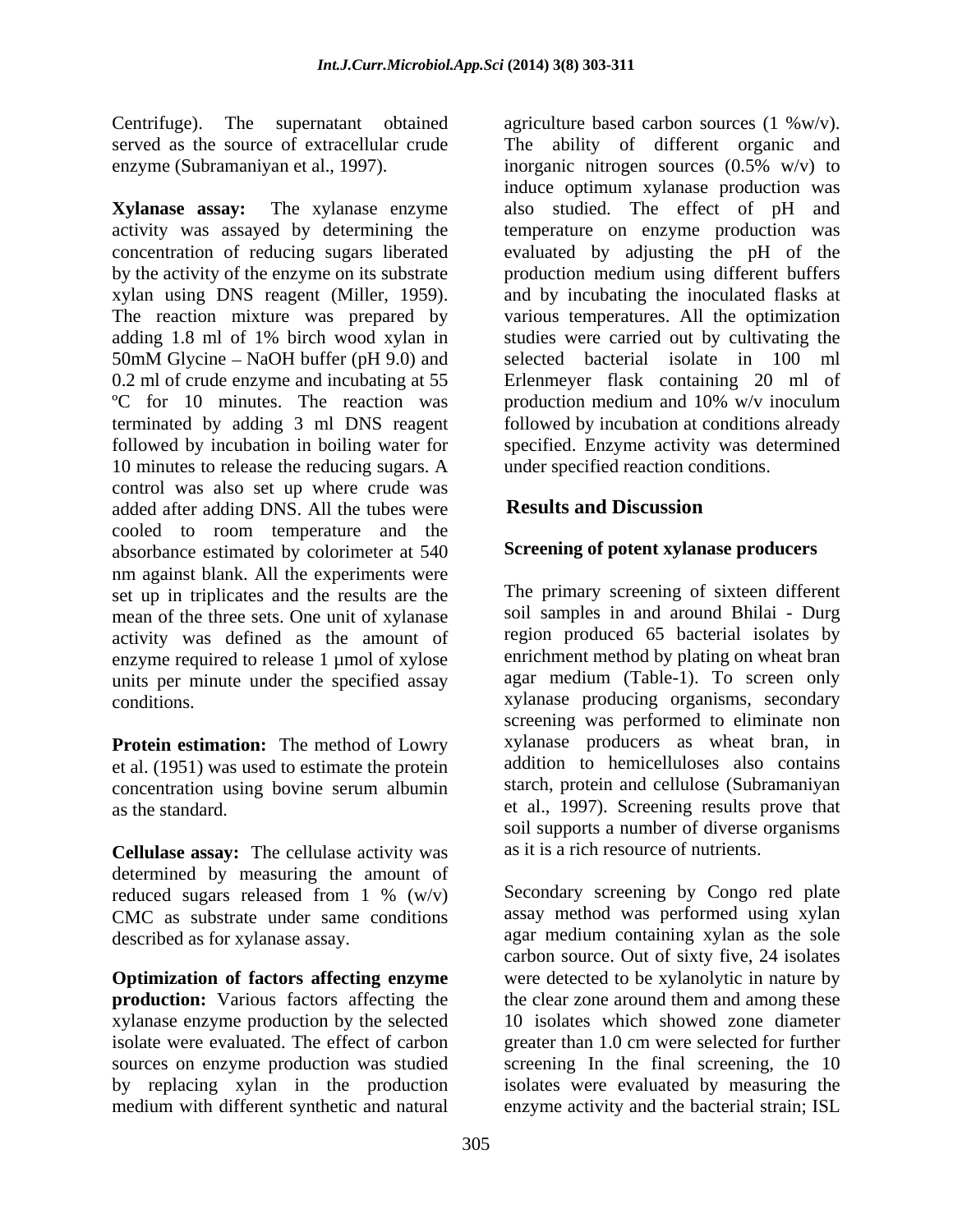**Xylanase assay:** The xylanase enzyme also studied. The effect of pH and activity was assayed by determining the temperature on enzyme production was concentration of reducing sugars liberated evaluated by adjusting the pH of the by the activity of the enzyme on its substrate production medium using different buffers xylan using DNS reagent (Miller, 1959). and by incubating the inoculated flasks at<br>The reaction mixture was prepared by various temperatures. All the optimization adding 1.8 ml of 1% birch wood xylan in studies were carried out by cultivating the 50mM Glycine  $-$  NaOH buffer (pH 9.0) and 0.2 ml of crude enzyme and incubating at 55 Erlenmeyer flask containing 20 ml of ºC for 10 minutes. The reaction was production medium and 10% w/v inoculum terminated by adding 3 ml DNS reagent followed by incubation at conditions already followed by incubation in boiling water for specified. Enzyme activity was determined 10 minutes to release the reducing sugars. A control was also set up where crude was<br>added after adding DNS All the tubes were **Results and Discussion** added after adding DNS. All the tubes were cooled to room temperature and the absorbance estimated by colorimeter at 540 nm against blank. All the experiments were set up in triplicates and the results are the mean of the three sets. One unit of xylanase activity was defined as the amount of enzyme required to release 1 µmol of xylose units per minute under the specified assay

**Protein estimation:** The method of Lowry et al. (1951) was used to estimate the protein concentration using bovine serum albumin

**Cellulase assay:** The cellulase activity was determined by measuring the amount of reduced sugars released from  $1\%$  (w/v) CMC as substrate under same conditions

xylanase enzyme production by the selected

Centrifuge). The supernatant obtained agriculture based carbon sources (1 %w/v). served as the source of extracellular crude The ability of different organic and enzyme (Subramaniyan et al., 1997). inorganic nitrogen sources (0.5% w/v) to induce optimum xylanase production was and by incubating the inoculated flasks at various temperatures. All the optimization selected bacterial isolate in 100 ml under specified reaction conditions.

# **Results and Discussion**

## **Screening of potent xylanase producers**

conditions. xylanase producing organisms, secondary as the standard. et al., 1997). Screening results prove that The primary screening of sixteen different soil samples in and around Bhilai - Durg region produced 65 bacterial isolates by enrichment method by plating on wheat bran agar medium (Table-1). To screen only screening was performed to eliminate non xylanase producers as wheat bran, in addition to hemicelluloses also contains starch, protein and cellulose (Subramaniyan soil supports a number of diverse organisms as it is a rich resource of nutrients.

reduced sugars released from 1 %  $(w/v)$  Secondary screening by Congo red plate described as for xylanase assay. agar medium containing xylan as the sole **Optimization of factors affecting enzyme** were detected to be xylanolytic in nature by **production:** Various factors affecting the the clear zone around them and among these isolate were evaluated. The effect of carbon greater than 1.0 cm were selected for further sources on enzyme production was studied screening In the final screening, the 10 by replacing xylan in the production isolates were evaluated by measuring the medium with different synthetic and natural enzyme activity and the bacterial strain; ISLSecondary screening by Congo red plate assay method was performed using xylan carbon source. Out of sixty five, 24 isolates 10 isolates which showed zone diameter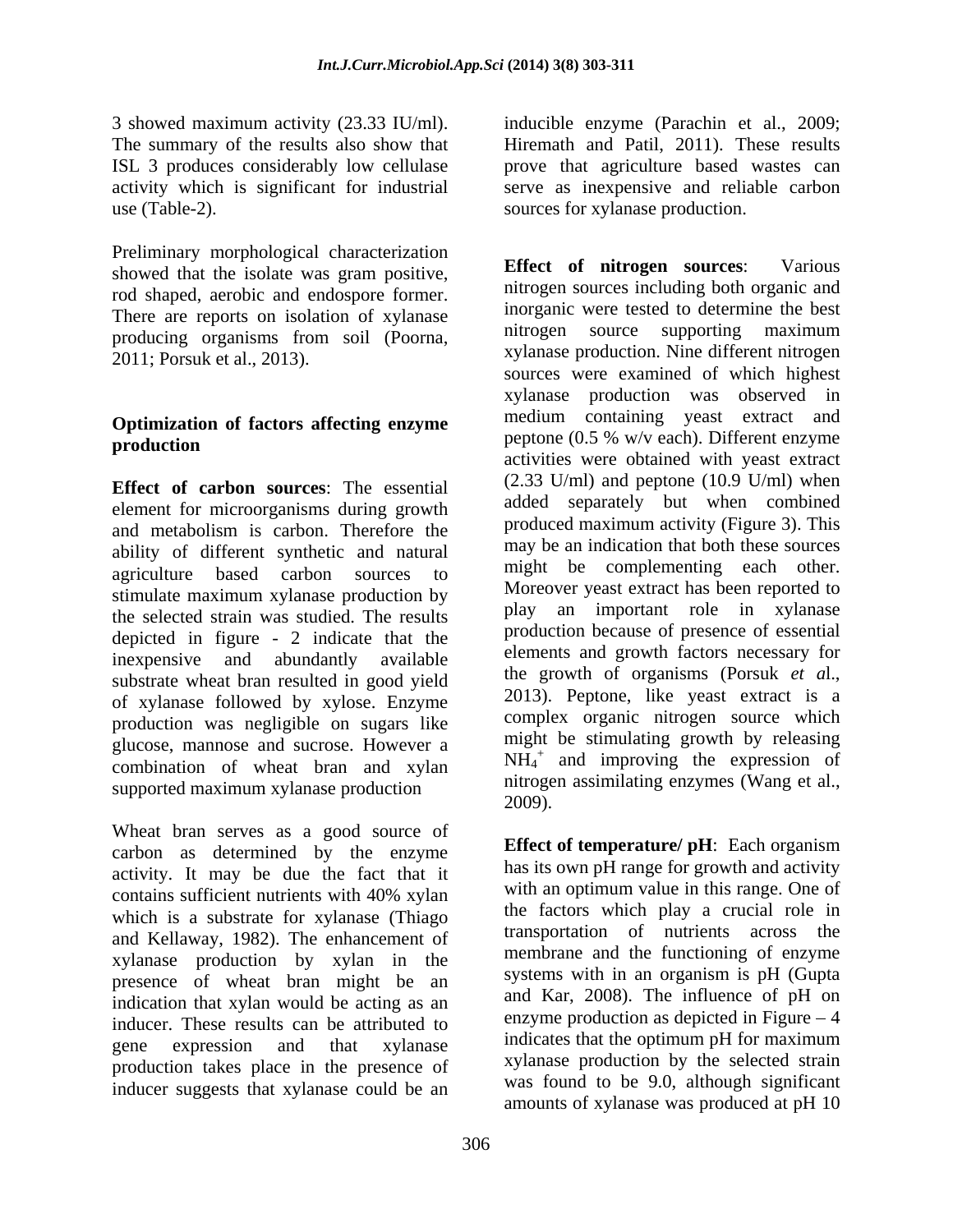Preliminary morphological characterization<br> **Effect of nitrogen sources:** Various showed that the isolate was gram positive, rod shaped, aerobic and endospore former. There are reports on isolation of xylanase<br>
morganic were tested to determine the best<br>
morganic were tested to determine the best<br>
morganic were tested to determine the best<br>
morganic were tested to determine the best<br>
mo producing organisms from soil (Poorna, 2011; Porsuk et al., 2013).

# **Optimization of factors affecting enzyme**

**Effect of carbon sources**: The essential element for microorganisms during growth ability of different synthetic and natural agriculture based carbon sources to stimulate maximum xylanase production by the selected strain was studied. The results depicted in figure - 2 indicate that the inexpensive and abundantly available substrate wheat bran resulted in good yield of xylanase followed by xylose. Enzyme production was negligible on sugars like glucose, mannose and sucrose. However a combination of wheat bran and xylan supported maximum xylanase production mutroge numbers of the maximum xylanase production and the mutrogen-

Wheat bran serves as a good source of carbon as determined by the enzyme activity. It may be due the fact that it contains sufficient nutrients with 40% xylan with an optimum value in this range. One of which is a substrate for xylanase (Thiago and Kellaway, 1982). The enhancement of xylanase production by xylan in the presence of wheat bran might be an indication that xylan would be acting as an inducer. These results can be attributed to expression and that xylanase indicates that the optimum pH for maximum gene expression and that xylanase production takes place in the presence of inducer suggests that xylanase could be an

3 showed maximum activity (23.33 IU/ml). inducible enzyme (Parachin et al., 2009; The summary of the results also show that Hiremath and Patil, 2011). These results ISL 3 produces considerably low cellulase prove that agriculture based wastes can activity which is significant for industrial serve as inexpensive and reliable carbon use (Table-2). sources for xylanase production.

production **production production production production production production** and metabolism is carbon. Therefore the produced maximum activity (Figure 3). This **Effect** of **nitrogen sources**: nitrogen sources including both organic and inorganic were tested to determine the best nitrogen source supporting maximum xylanase production. Nine different nitrogen sources were examined of which highest xylanase production was observed in medium containing yeast extract and peptone (0.5 % w/v each). Different enzyme activities were obtained with yeast extract  $(2.33 \text{ U/ml})$  and peptone  $(10.9 \text{ U/ml})$  when added separately but when combined produced maximum activity (Figure 3). This may be an indication that both these sources might be complementing each other. Moreover yeast extract has been reported to play an important role in xylanase production because of presence of essential elements and growth factors necessary for the growth of organisms (Porsuk *et a*l., 2013). Peptone, like yeast extract is a complex organic nitrogen source which might be stimulating growth by releasing  $NH_4$ <sup>+</sup> and improving the expression of nitrogen assimilating enzymes (Wang et al., 2009).

> **Effect of temperature/ pH**: Each organism has its own pH range for growth and activity with an optimum value in this range. One of the factors which play a crucial role in transportation of nutrients across the membrane and the functioning of enzyme systems with in an organism is pH (Gupta and Kar, 2008). The influence of pH on enzyme production as depicted in Figure  $-4$ xylanase production by the selected strain was found to be 9.0, although significant amounts of xylanase was produced at pH 10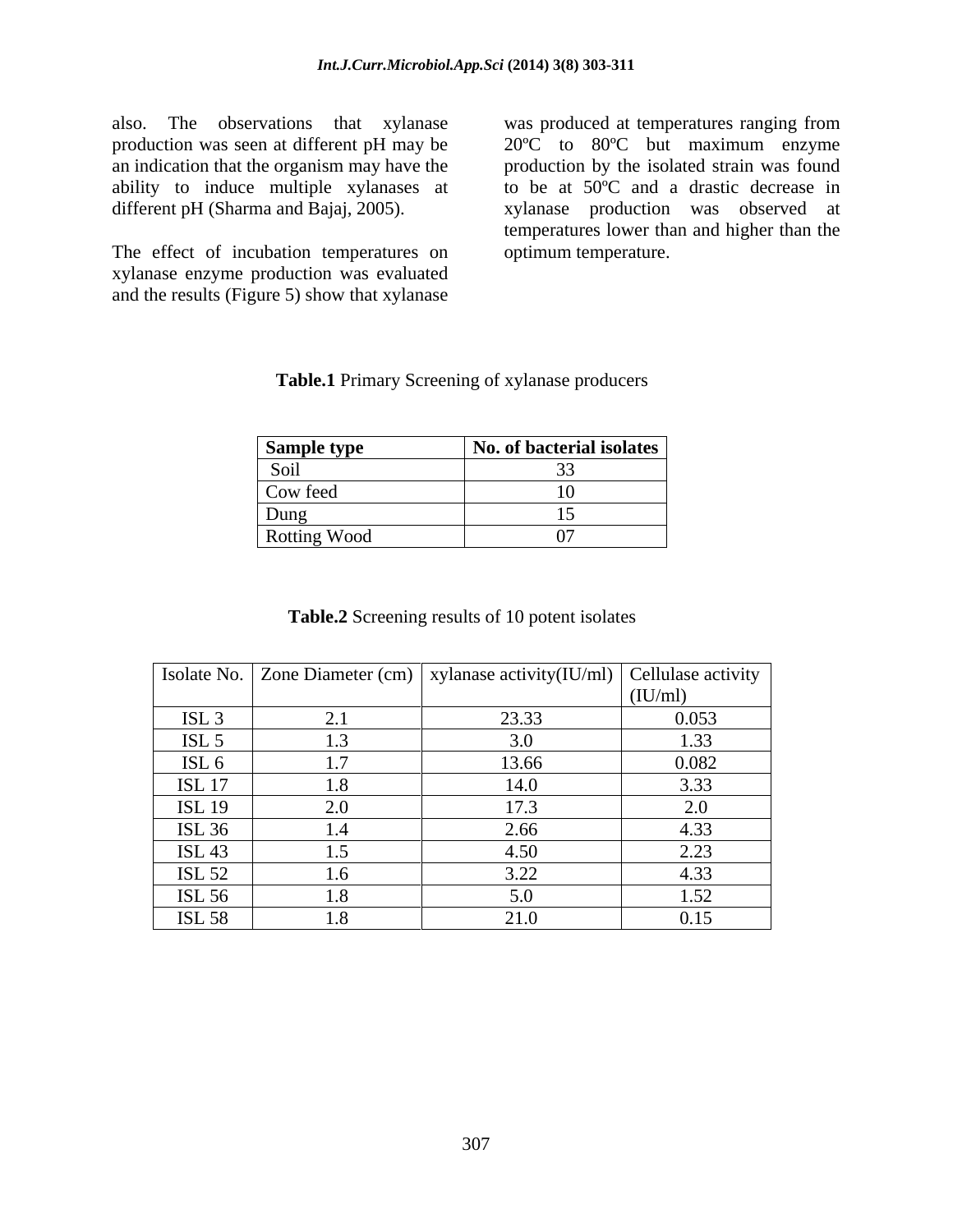ability to induce multiple xylanases at different pH (Sharma and Bajaj, 2005).

The effect of incubation temperatures on xylanase enzyme production was evaluated and the results (Figure 5) show that xylanase

also. The observations that xylanase was produced at temperatures ranging from production was seen at different pH may be 20ºC to 80ºC but maximum enzyme an indication that the organism may have the production by the isolated strain was found different pH (Sharma and Bajaj, 2005). xylanase production was observed at to be at 50ºC and a drastic decrease in temperatures lower than and higher than the optimum temperature.

| <b>Sample type</b> | No. of bacterial isolates |
|--------------------|---------------------------|
| <b>S</b> O1        |                           |
| Cow feed           |                           |
| Dung               |                           |
| Rotting Wood       |                           |

## **Table.1** Primary Screening of xylanase producers

**Table.2** Screening results of 10 potent isolates

|                     | Sample type  | No. of bacterial isolates                       |                    |
|---------------------|--------------|-------------------------------------------------|--------------------|
|                     | Soil         | 33                                              |                    |
|                     | Cow feed     | 10                                              |                    |
|                     | Dung         | 15                                              |                    |
|                     | Rotting Wood | 07                                              |                    |
|                     |              |                                                 |                    |
|                     |              |                                                 |                    |
|                     |              | Table.2 Screening results of 10 potent isolates |                    |
|                     |              |                                                 |                    |
|                     |              |                                                 |                    |
| Isolate No. $\vert$ |              | Zone Diameter (cm)   xylanase activity(IU/ml)   | Cellulase activity |
|                     |              |                                                 | (IU/ml)            |
| ISL <sub>3</sub>    | 2.1          | 23.33                                           | 0.053              |
| ISL $5$             | 1.3          | 3.0                                             | 1.33               |
| ISL 6               | 1.7          | 13.66                                           | 0.082              |
| <b>ISL 17</b>       | 1.8          | 14.0                                            | 3.33               |
| <b>ISL 19</b>       | 2.0          | 17.3                                            | 2.0                |
| <b>ISL 36</b>       | 1.4          | 2.66                                            | 4.33               |
| <b>ISL 43</b>       | 1.5          | 4.50                                            | 2.23               |
| <b>ISL 52</b>       | 1.6          | 3.22                                            | 4.33               |
| <b>ISL 56</b>       | 1.8          | 5.0                                             | 1.52               |
| <b>ISL 58</b>       | 1.8          | 21.0                                            | 0.15               |
|                     |              |                                                 |                    |
|                     |              |                                                 |                    |
|                     |              |                                                 |                    |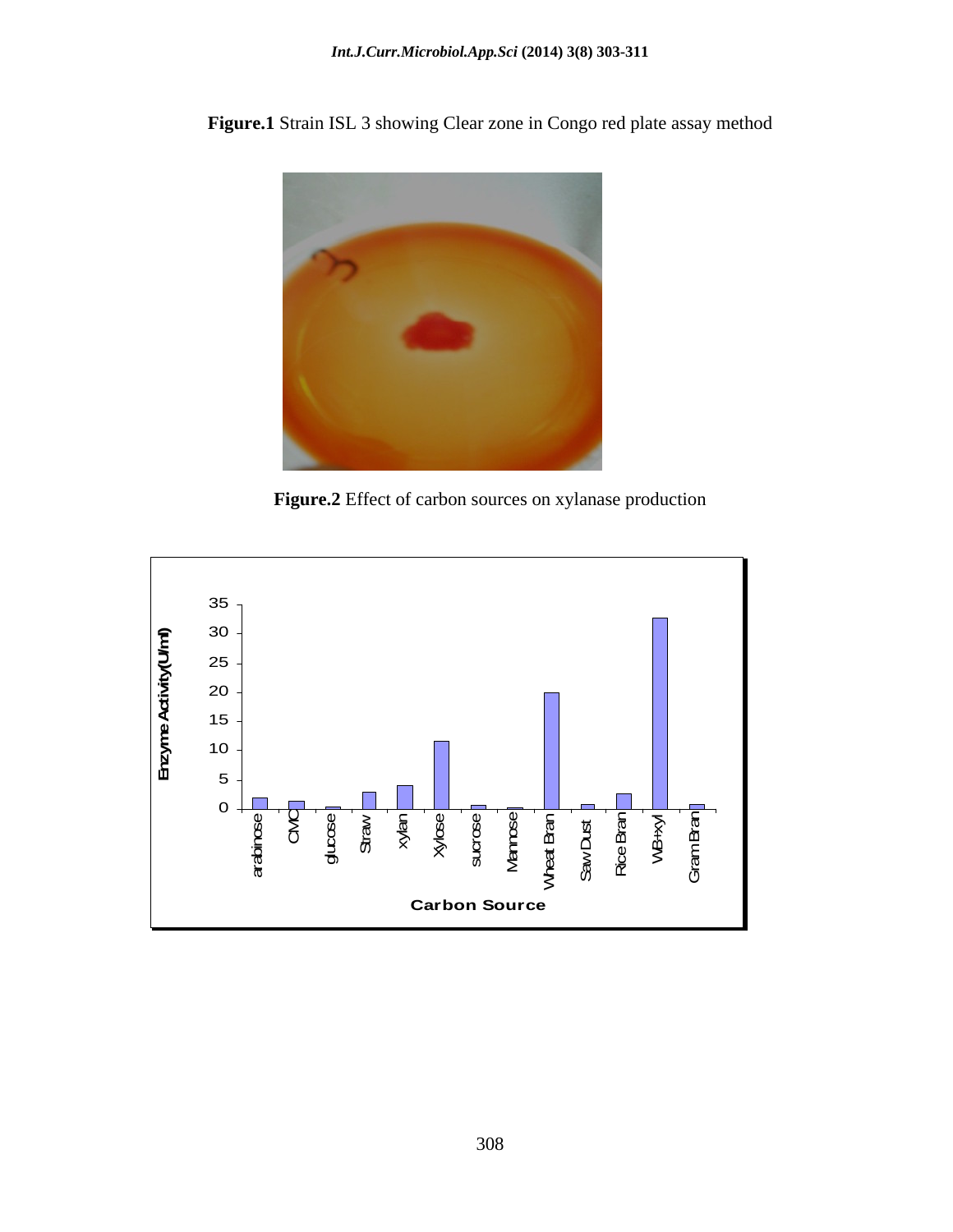**Figure.1** Strain ISL 3 showing Clear zone in Congo red plate assay method



**Figure.2** Effect of carbon sources on xylanase production

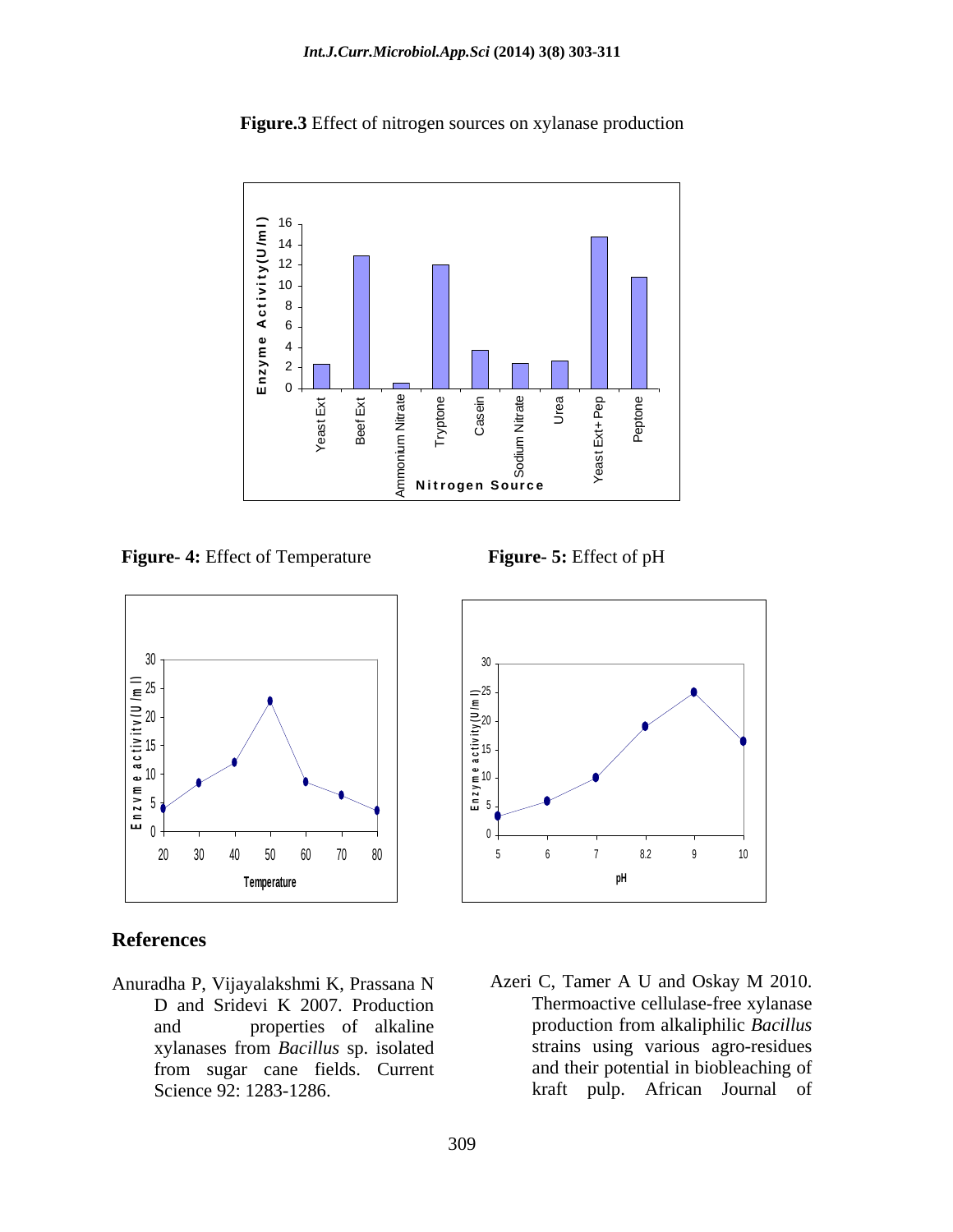**Figure.3** Effect of nitrogen sources on xylanase production



**Figure- 4:** Effect of Temperature **Figure- 5:** Effect of pH



## **References**

Anuradha P, Vijayalakshmi K, Prassana N Azeri C, Tamer A U and Oskay M 2010. D and Sridevi K 2007. Production xylanases from *Bacillus* sp. isolated from sugar cane fields. Current



and properties of alkaline production from alkaliphilic *Bacillus* Science 92: 1283-1286. kraft pulp. African Journal ofThermoactive cellulase-free xylanase strains using various agro-residues and their potential in biobleaching of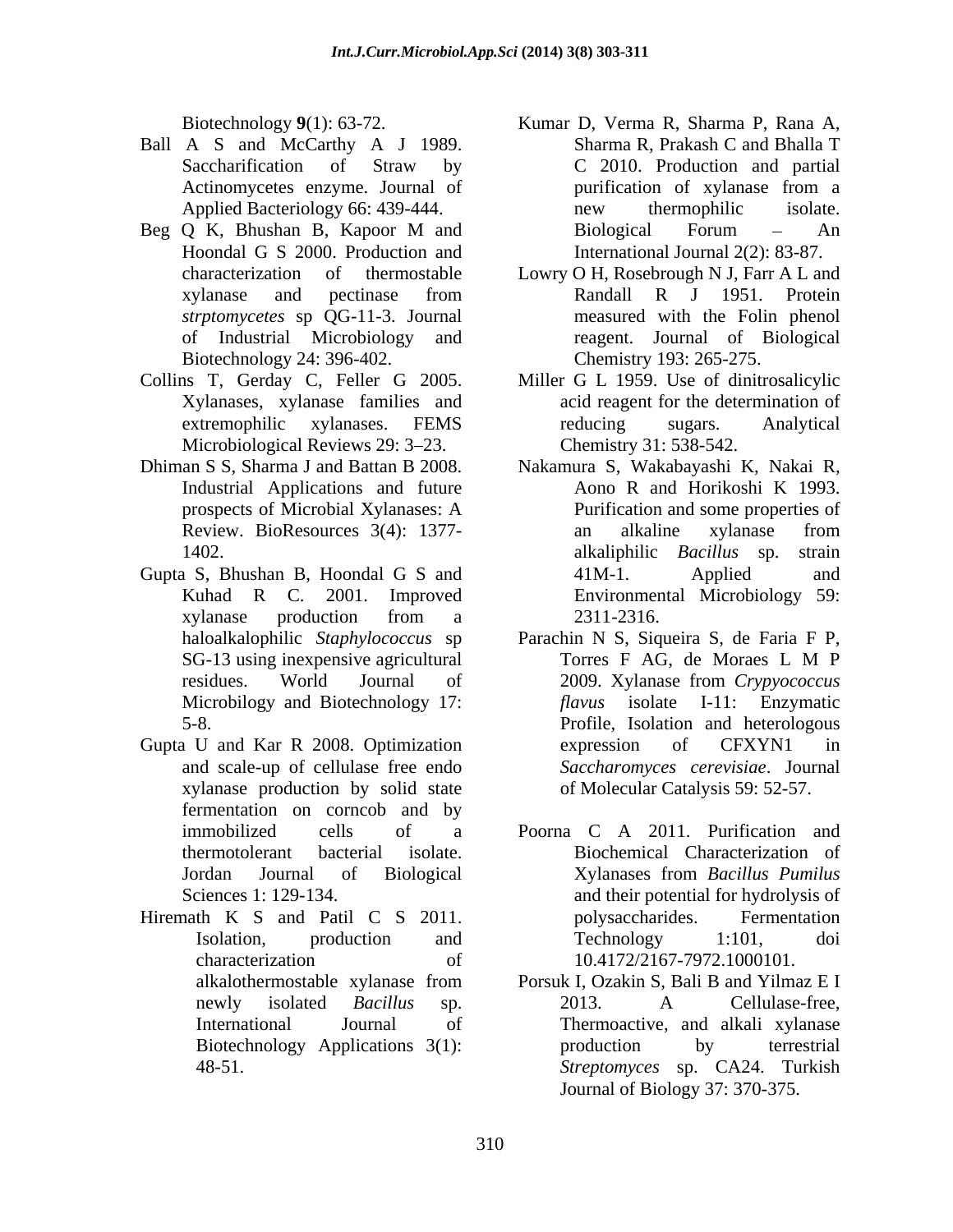- 
- Hoondal G S 2000. Production and **International Journal 2(2): 83-87**. *strptomycetes* sp QG-11-3. Journal
- Biotechnology 24: 396-402.<br>Collins T, Gerday C, Feller G 2005. Microbiological Reviews 29: 3–23. Chemistry 31: 538-542.
- 
- Gupta S, Bhushan B, Hoondal G S and 41M-1. Applied and xylanase production from a
- Gupta U and Kar R 2008. Optimization expression of CFXYN1 in xylanase production by solid state fermentation on corncob and by
- Hiremath K S and Patil C S 2011. bolysaccharides. Fermentation
- Biotechnology **9**(1): 63-72. Kumar D, Verma R, Sharma P, Rana A, Ball A S and McCarthy A J 1989. Sharma R, Prakash C and Bhalla T Saccharification of Straw by C 2010. Production and partial Actinomycetes enzyme. Journal of purification of xylanase from a Applied Bacteriology 66: 439-444. hew thermophilic isolate. Beg Q K, Bhushan B, Kapoor M and Sharma R, Prakash C and Bhalla T C 2010. Production and partial purification of xylanase from a new thermophilic isolate. Biological Forum – An International Journal 2(2): 83-87.
	- characterization of thermostable Lowry O H, Rosebrough N J, Farr A L and xylanase and pectinase from Randall R J 1951. Protein of Industrial Microbiology and reagent. Journal of Biological Randall R J 1951. Protein measured with the Folin phenol Chemistry 193: 265-275.
- Collins T, Gerday C, Feller G 2005. Miller G L 1959. Use of dinitrosalicylic Xylanases, xylanase families and acid reagent for the determination of extremophilic xylanases. FEMS reducing sugars. Analytical Miller G L 1959. Use of dinitrosalicylic acid reagent for the determination of reducing sugars. Analytical Chemistry 31: 538-542.
- Dhiman S S, Sharma J and Battan B 2008. Nakamura S, Wakabayashi K, Nakai R, Industrial Applications and future Aono R and Horikoshi K 1993. prospects of Microbial Xylanases: A Review. BioResources 3(4): 1377- an alkaline xylanase from 1402. alkaliphilic *Bacillus* sp. strain Kuhad R C. 2001. Improved Environmental Microbiology 59: Aono R and Horikoshi K 1993. Purification and some properties of an alkaline xylanase from 41M-1. Applied and 2311-2316.
	- haloalkalophilic *Staphylococcus* sp Parachin N S, Siqueira S, de Faria F P, SG-13 using inexpensive agricultural Torres F AG, de Moraes L M P residues. World Journal of 2009. Xylanase from Crypyococcus Microbilogy and Biotechnology 17: *flavus* isolate I-11: Enzymatic 5-8. Profile, Isolation and heterologous and scale-up of cellulase free endo *Saccharomyces cerevisiae*. Journal Torres F AG, de Moraes L M P 2009. Xylanase from *Crypyococcus*  expression of CFXYN1 in of Molecular Catalysis 59: 52-57.
	- immobilized cells of a Poorna C A 2011. Purification and thermotolerant bacterial isolate. Biochemical Characterization of Jordan Journal of Biological Xylanases from Bacillus Pumilus Sciences 1: 129-134. and their potential for hydrolysis of Isolation, production and Technology 1:101, doi characterization of 10.4172/2167-7972.1000101. Xylanases from *Bacillus Pumilus* polysaccharides. Fermentation Technology 1:101, doi
		- alkalothermostable xylanase from Porsuk I, Ozakin S, Bali B and Yilmaz E I newly isolated *Bacillus* sp. International Journal of Thermoactive, and alkali xylanase Biotechnology Applications 3(1): by terrestrial 48-51. *Streptomyces* sp. CA24. Turkish Porsuk I, Ozakin S, Bali B and Yilmaz E I 2013. A Cellulase-free, production by terrestrial Journal of Biology 37: 370-375.